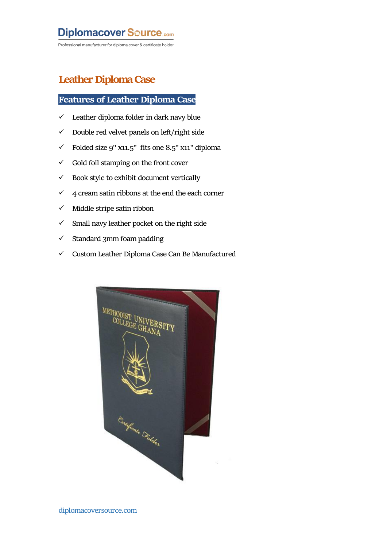## **Diplomacover Source.com**

Professional manufacturer for diploma cover & certificate holder

### **Leather Diploma Case**

#### **Features of Leather Diploma Case**

- $\checkmark$  Leather diploma folder in dark navy blue
- $\checkmark$  Double red velvet panels on left/right side
- $\checkmark$  Folded size 9" x11.5" fits one 8.5" x11" diploma
- $\checkmark$  Gold foil stamping on the front cover
- $\checkmark$  Book style to exhibit document vertically
- $\checkmark$  4 cream satin ribbons at the end the each corner
- $\checkmark$  Middle stripe satin ribbon
- $\checkmark$  Small navy leather pocket on the right side
- $\checkmark$  Standard 3mm foam padding
- $\checkmark$  Custom Leather Diploma Case Can Be Manufactured

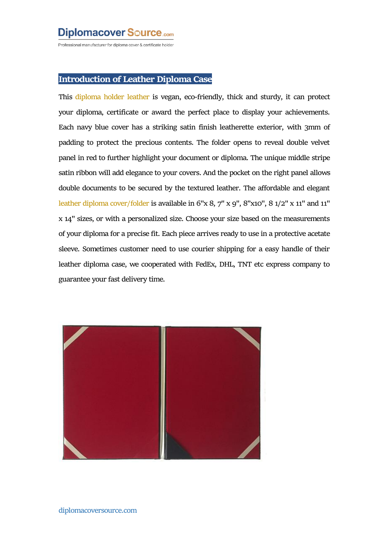## **Diplomacover Source.com**

Professional manufacturer for diploma cover & certificate holder

#### **Introduction of Leather Diploma Case**

This [diploma](http://www.diplomacoversource.com) holder leather is vegan, eco-friendly, thick and sturdy, it can protect your diploma, certificate or award the perfect place to display your achievements. Each navy blue cover has a striking satin finish leatherette exterior, with 3mm of padding to protect the precious contents. The folder opens to reveal double velvet panel in red to further highlight your document or diploma. The unique middle stripe satin ribbon will add elegance to your covers. And the pocket on the right panel allows double documents to be secured by the textured leather. The affordable and elegant leather diploma [cover/folder](http://www.diplomacoversource.com/products/leather-diploma-case.html) is available in  $6"x 8, 7"x 9", 8"x10", 8 1/2"x 11"$  and  $11"$ x 14" sizes, or with a personalized size. Choose your size based on themeasurements of your diploma for a precise fit. Each piece arrives ready to use in a protective acetate sleeve. Sometimes customer need to use courier shipping for a easy handle of their leather diploma case, we cooperated with FedEx, DHL, TNT etc express company to guarantee your fast delivery time.